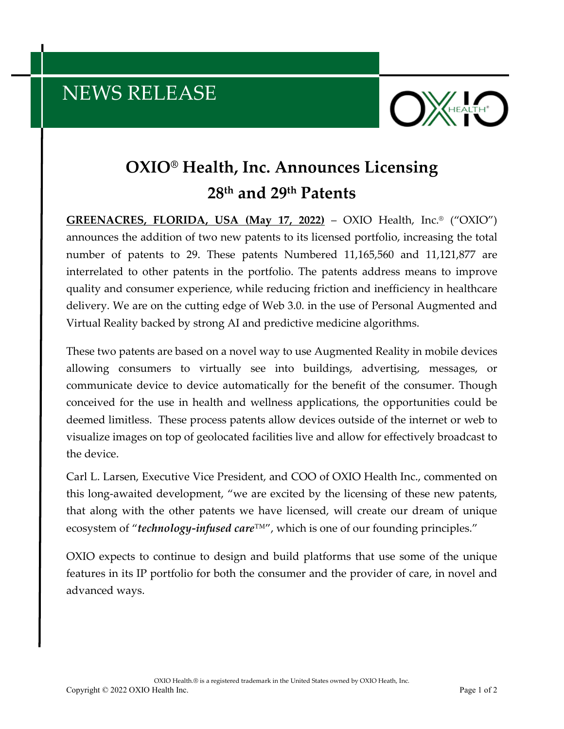## NEWS RELEASE



## **OXIO® Health, Inc. Announces Licensing 28th and 29th Patents**

**GREENACRES, FLORIDA, USA (May 17, 2022)** – OXIO Health, Inc.® ("OXIO") announces the addition of two new patents to its licensed portfolio, increasing the total number of patents to 29. These patents Numbered 11,165,560 and 11,121,877 are interrelated to other patents in the portfolio. The patents address means to improve quality and consumer experience, while reducing friction and inefficiency in healthcare delivery. We are on the cutting edge of Web 3.0. in the use of Personal Augmented and Virtual Reality backed by strong AI and predictive medicine algorithms.

These two patents are based on a novel way to use Augmented Reality in mobile devices allowing consumers to virtually see into buildings, advertising, messages, or communicate device to device automatically for the benefit of the consumer. Though conceived for the use in health and wellness applications, the opportunities could be deemed limitless. These process patents allow devices outside of the internet or web to visualize images on top of geolocated facilities live and allow for effectively broadcast to the device.

Carl L. Larsen, Executive Vice President, and COO of OXIO Health Inc., commented on this long-awaited development, "we are excited by the licensing of these new patents, that along with the other patents we have licensed, will create our dream of unique ecosystem of "*technology-infused care*™", which is one of our founding principles."

OXIO expects to continue to design and build platforms that use some of the unique features in its IP portfolio for both the consumer and the provider of care, in novel and advanced ways.